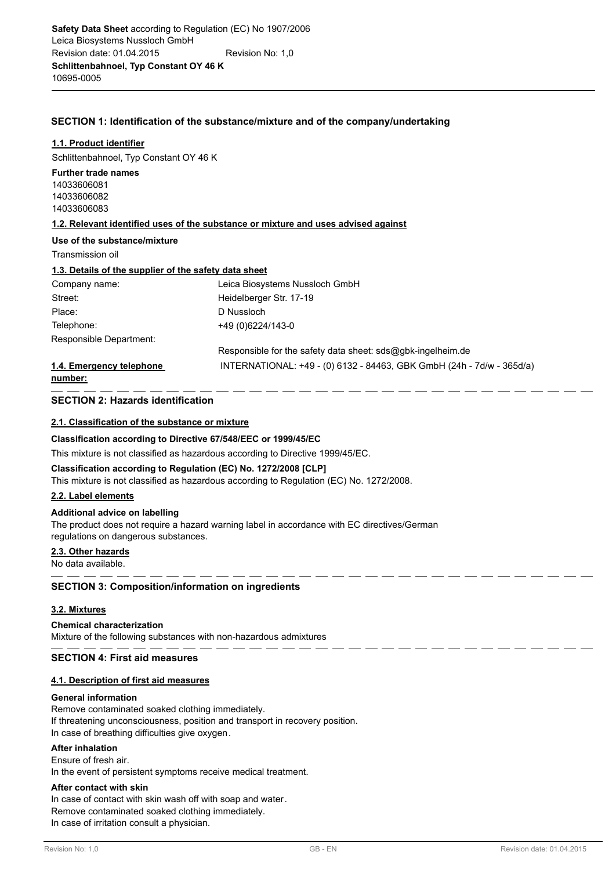# **SECTION 1: Identification of the substance/mixture and of the company/undertaking**

#### **1.1. Product identifier**

Schlittenbahnoel, Typ Constant OY 46 K

# **Further trade names**

14033606081 14033606082 14033606083

### **1.2. Relevant identified uses of the substance or mixture and uses advised against**

# **Use of the substance/mixture**

Transmission oil

### **1.3. Details of the supplier of the safety data sheet**

| Company name:            | Leica Biosystems Nussloch GmbH                                        |
|--------------------------|-----------------------------------------------------------------------|
| Street:                  | Heidelberger Str. 17-19                                               |
| Place:                   | D Nussloch                                                            |
| Telephone:               | +49 (0) 6224/143-0                                                    |
| Responsible Department:  |                                                                       |
|                          | Responsible for the safety data sheet: sds@gbk-ingelheim.de           |
| 1.4. Emergency telephone | INTERNATIONAL: +49 - (0) 6132 - 84463, GBK GmbH (24h - 7d/w - 365d/a) |

#### **number:**

### **SECTION 2: Hazards identification**

### **2.1. Classification of the substance or mixture**

### **Classification according to Directive 67/548/EEC or 1999/45/EC**

This mixture is not classified as hazardous according to Directive 1999/45/EC.

### **Classification according to Regulation (EC) No. 1272/2008 [CLP]**

This mixture is not classified as hazardous according to Regulation (EC) No. 1272/2008.

# **2.2. Label elements**

### **Additional advice on labelling**

The product does not require a hazard warning label in accordance with EC directives/German regulations on dangerous substances.

### **2.3. Other hazards**

No data available.

# **SECTION 3: Composition/information on ingredients**

# **3.2. Mixtures**

Mixture of the following substances with non-hazardous admixtures **Chemical characterization**

### **SECTION 4: First aid measures**

### **4.1. Description of first aid measures**

### **General information**

Remove contaminated soaked clothing immediately. If threatening unconsciousness, position and transport in recovery position. In case of breathing difficulties give oxygen.

### **After inhalation**

Ensure of fresh air. In the event of persistent symptoms receive medical treatment.

#### **After contact with skin**

In case of contact with skin wash off with soap and water. Remove contaminated soaked clothing immediately. In case of irritation consult a physician.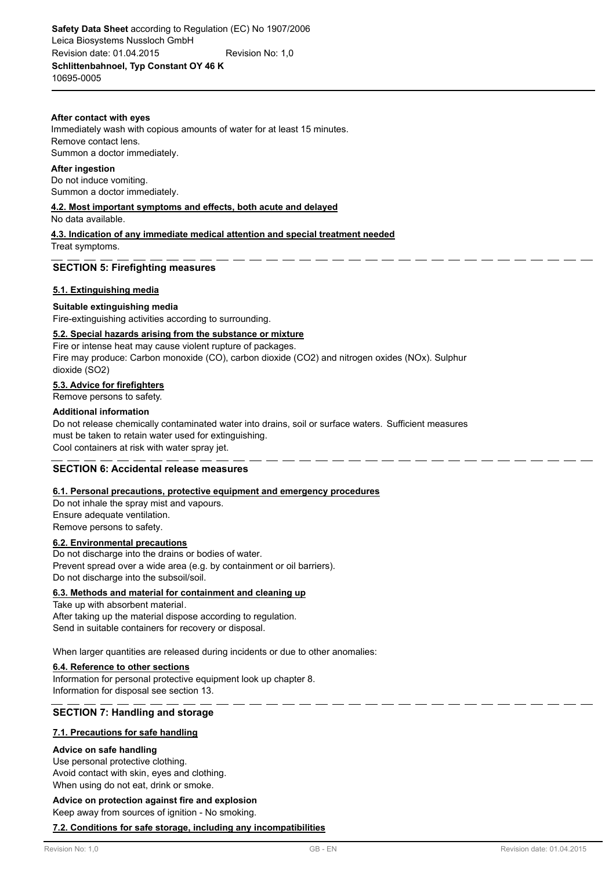### **After contact with eyes**

Immediately wash with copious amounts of water for at least 15 minutes. Remove contact lens. Summon a doctor immediately.

#### **After ingestion**

Do not induce vomiting. Summon a doctor immediately.

# **4.2. Most important symptoms and effects, both acute and delayed**

No data available.

**4.3. Indication of any immediate medical attention and special treatment needed** Treat symptoms.

# **SECTION 5: Firefighting measures**

### **5.1. Extinguishing media**

**Suitable extinguishing media**

Fire-extinguishing activities according to surrounding.

# **5.2. Special hazards arising from the substance or mixture**

Fire or intense heat may cause violent rupture of packages. Fire may produce: Carbon monoxide (CO), carbon dioxide (CO2) and nitrogen oxides (NOx). Sulphur dioxide (SO2)

# **5.3. Advice for firefighters**

Remove persons to safety.

### **Additional information**

Do not release chemically contaminated water into drains, soil or surface waters. Sufficient measures must be taken to retain water used for extinguishing. Cool containers at risk with water spray jet.

# **SECTION 6: Accidental release measures**

# **6.1. Personal precautions, protective equipment and emergency procedures**

Do not inhale the spray mist and vapours. Ensure adequate ventilation. Remove persons to safety.

# **6.2. Environmental precautions**

Do not discharge into the drains or bodies of water. Prevent spread over a wide area (e.g. by containment or oil barriers). Do not discharge into the subsoil/soil.

### **6.3. Methods and material for containment and cleaning up**

Take up with absorbent material. After taking up the material dispose according to regulation. Send in suitable containers for recovery or disposal.

When larger quantities are released during incidents or due to other anomalies:

### **6.4. Reference to other sections**

Information for personal protective equipment look up chapter 8. Information for disposal see section 13.

# **SECTION 7: Handling and storage**

# **7.1. Precautions for safe handling**

### **Advice on safe handling**

Use personal protective clothing. Avoid contact with skin, eyes and clothing. When using do not eat, drink or smoke.

**Advice on protection against fire and explosion**

Keep away from sources of ignition - No smoking.

### **7.2. Conditions for safe storage, including any incompatibilities**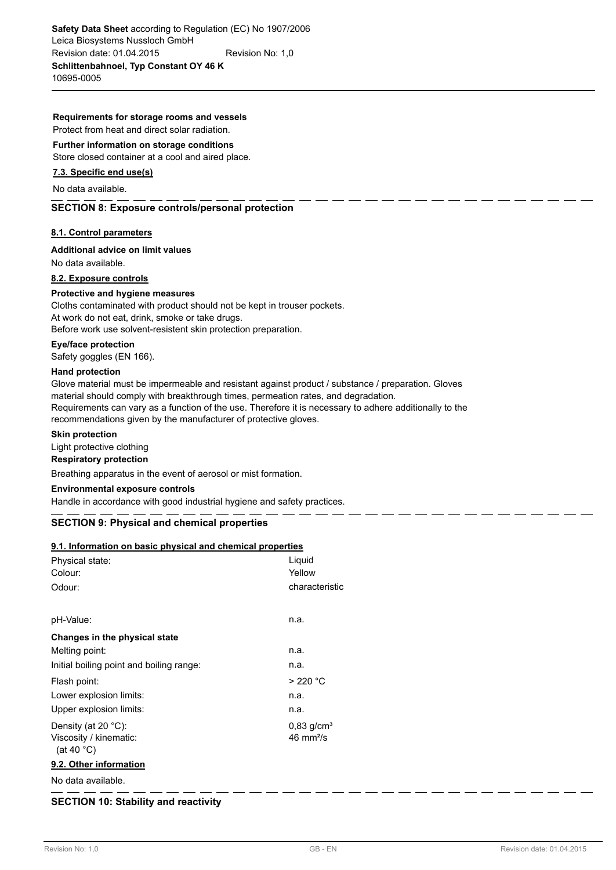# **Requirements for storage rooms and vessels**

Protect from heat and direct solar radiation.

**Further information on storage conditions**

Store closed container at a cool and aired place.

# **7.3. Specific end use(s)**

No data available.

# **SECTION 8: Exposure controls/personal protection**

### **8.1. Control parameters**

### **Additional advice on limit values**

No data available.

### **8.2. Exposure controls**

### **Protective and hygiene measures**

Cloths contaminated with product should not be kept in trouser pockets. At work do not eat, drink, smoke or take drugs. Before work use solvent-resistent skin protection preparation.

# **Eye/face protection**

Safety goggles (EN 166).

### **Hand protection**

Glove material must be impermeable and resistant against product / substance / preparation. Gloves material should comply with breakthrough times, permeation rates, and degradation. Requirements can vary as a function of the use. Therefore it is necessary to adhere additionally to the recommendations given by the manufacturer of protective gloves.

### **Skin protection**

# Light protective clothing

**Respiratory protection**

Breathing apparatus in the event of aerosol or mist formation.

### **Environmental exposure controls**

Handle in accordance with good industrial hygiene and safety practices.

# **SECTION 9: Physical and chemical properties**

# **9.1. Information on basic physical and chemical properties**

| Physical state:<br>Colour:                                                      | Liquid<br>Yellow                                       |
|---------------------------------------------------------------------------------|--------------------------------------------------------|
| Odour:                                                                          | characteristic                                         |
| pH-Value:                                                                       | n.a.                                                   |
| Changes in the physical state                                                   |                                                        |
| Melting point:                                                                  | n.a.                                                   |
| Initial boiling point and boiling range:                                        | n.a.                                                   |
| Flash point:                                                                    | >220 °C                                                |
| Lower explosion limits:                                                         | n.a.                                                   |
| Upper explosion limits:                                                         | n.a.                                                   |
| Density (at 20 $^{\circ}$ C):<br>Viscosity / kinematic:<br>(at 40 $^{\circ}$ C) | $0,83$ g/cm <sup>3</sup><br>$46 \text{ mm}^2\text{/s}$ |
| 9.2. Other information                                                          |                                                        |
| No data available.                                                              |                                                        |

# **SECTION 10: Stability and reactivity**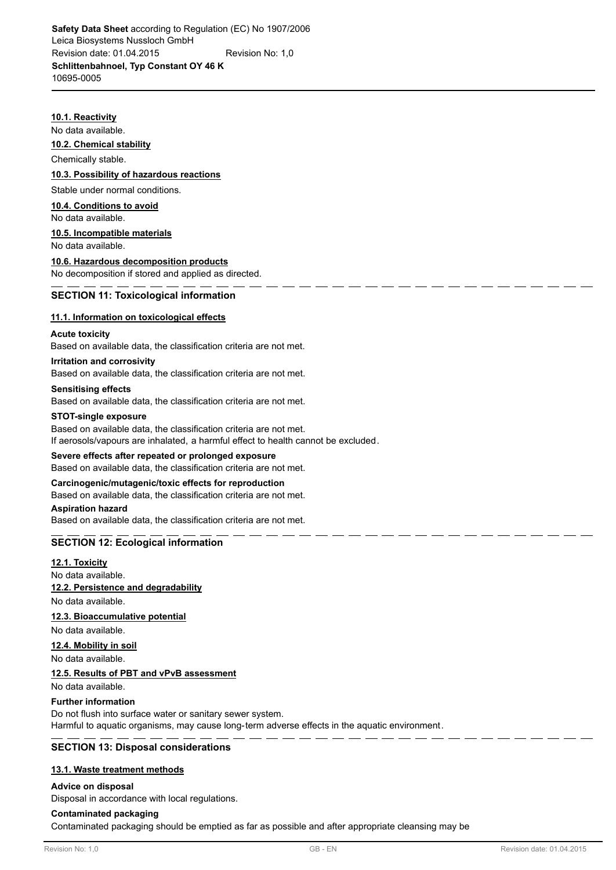### **10.1. Reactivity**

No data available.

### **10.2. Chemical stability**

Chemically stable.

# **10.3. Possibility of hazardous reactions**

Stable under normal conditions.

# **10.4. Conditions to avoid**

No data available.

# **10.5. Incompatible materials**

No data available.

### **10.6. Hazardous decomposition products**

No decomposition if stored and applied as directed.

### **SECTION 11: Toxicological information**

### **11.1. Information on toxicological effects**

#### **Acute toxicity**

Based on available data, the classification criteria are not met.

# **Irritation and corrosivity**

Based on available data, the classification criteria are not met.

#### **Sensitising effects**

Based on available data, the classification criteria are not met.

#### **STOT-single exposure**

Based on available data, the classification criteria are not met. If aerosols/vapours are inhalated, a harmful effect to health cannot be excluded.

# **Severe effects after repeated or prolonged exposure**

Based on available data, the classification criteria are not met.

### **Carcinogenic/mutagenic/toxic effects for reproduction**

Based on available data, the classification criteria are not met.

### **Aspiration hazard**

Based on available data, the classification criteria are not met.

# **SECTION 12: Ecological information**

### **12.1. Toxicity**

No data available. **12.2. Persistence and degradability**

No data available.

# **12.3. Bioaccumulative potential**

No data available.

# **12.4. Mobility in soil**

No data available.

# **12.5. Results of PBT and vPvB assessment**

No data available.

### **Further information**

Do not flush into surface water or sanitary sewer system. Harmful to aquatic organisms, may cause long-term adverse effects in the aquatic environment.

# **SECTION 13: Disposal considerations**

### **13.1. Waste treatment methods**

### **Advice on disposal**

Disposal in accordance with local regulations.

#### **Contaminated packaging**

Contaminated packaging should be emptied as far as possible and after appropriate cleansing may be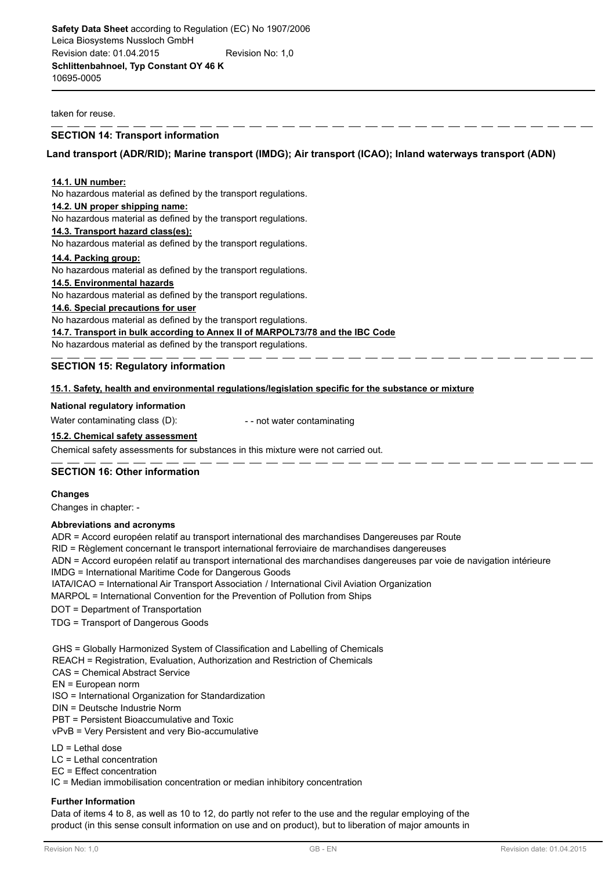taken for reuse.

### **SECTION 14: Transport information**

### **Land transport (ADR/RID); Marine transport (IMDG); Air transport (ICAO); Inland waterways transport (ADN)**

#### **14.1. UN number:**

No hazardous material as defined by the transport regulations.

# **14.2. UN proper shipping name:**

No hazardous material as defined by the transport regulations.

#### **14.3. Transport hazard class(es):**

No hazardous material as defined by the transport regulations.

#### **14.4. Packing group:**

No hazardous material as defined by the transport regulations.

# **14.5. Environmental hazards**

No hazardous material as defined by the transport regulations.

# **14.6. Special precautions for user**

No hazardous material as defined by the transport regulations.

**14.7. Transport in bulk according to Annex II of MARPOL73/78 and the IBC Code**

No hazardous material as defined by the transport regulations.

# **SECTION 15: Regulatory information**

### **15.1. Safety, health and environmental regulations/legislation specific for the substance or mixture**

#### **National regulatory information**

Water contaminating class (D):  $\qquad \qquad -$  not water contaminating

### **15.2. Chemical safety assessment**

Chemical safety assessments for substances in this mixture were not carried out.

### **SECTION 16: Other information**

**Changes**

Changes in chapter: -

### **Abbreviations and acronyms**

ADR = Accord européen relatif au transport international des marchandises Dangereuses par Route

RID = Règlement concernant le transport international ferroviaire de marchandises dangereuses

ADN = Accord européen relatif au transport international des marchandises dangereuses par voie de navigation intérieure IMDG = International Maritime Code for Dangerous Goods

IATA/ICAO = International Air Transport Association / International Civil Aviation Organization

MARPOL = International Convention for the Prevention of Pollution from Ships

DOT = Department of Transportation

TDG = Transport of Dangerous Goods

GHS = Globally Harmonized System of Classification and Labelling of Chemicals

REACH = Registration, Evaluation, Authorization and Restriction of Chemicals

CAS = Chemical Abstract Service

EN = European norm

ISO = International Organization for Standardization

DIN = Deutsche Industrie Norm

PBT = Persistent Bioaccumulative and Toxic

vPvB = Very Persistent and very Bio-accumulative

LD = Lethal dose

LC = Lethal concentration

EC = Effect concentration

IC = Median immobilisation concentration or median inhibitory concentration

### **Further Information**

Data of items 4 to 8, as well as 10 to 12, do partly not refer to the use and the regular employing of the product (in this sense consult information on use and on product), but to liberation of major amounts in